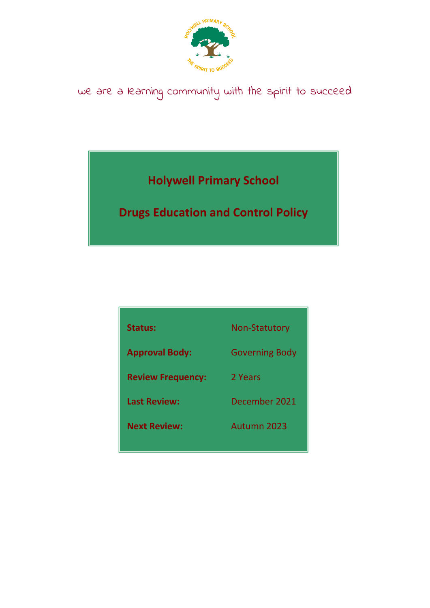

# we are a learning community with the spirit to succeed

**Holywell Primary School**

**Drugs Education and Control Policy**

| Status:                  | <b>Non-Statutory</b>  |
|--------------------------|-----------------------|
| <b>Approval Body:</b>    | <b>Governing Body</b> |
| <b>Review Frequency:</b> | 2 Years               |
| <b>Last Review:</b>      | December 2021         |
| <b>Next Review:</b>      | Autumn 2023           |
|                          |                       |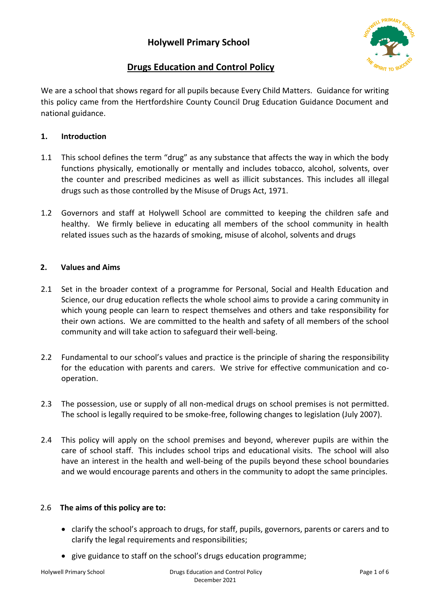

# **Drugs Education and Control Policy**

We are a school that shows regard for all pupils because Every Child Matters. Guidance for writing this policy came from the Hertfordshire County Council Drug Education Guidance Document and national guidance.

# **1. Introduction**

- 1.1 This school defines the term "drug" as any substance that affects the way in which the body functions physically, emotionally or mentally and includes tobacco, alcohol, solvents, over the counter and prescribed medicines as well as illicit substances. This includes all illegal drugs such as those controlled by the Misuse of Drugs Act, 1971.
- 1.2 Governors and staff at Holywell School are committed to keeping the children safe and healthy. We firmly believe in educating all members of the school community in health related issues such as the hazards of smoking, misuse of alcohol, solvents and drugs

# **2. Values and Aims**

- 2.1 Set in the broader context of a programme for Personal, Social and Health Education and Science, our drug education reflects the whole school aims to provide a caring community in which young people can learn to respect themselves and others and take responsibility for their own actions. We are committed to the health and safety of all members of the school community and will take action to safeguard their well-being.
- 2.2 Fundamental to our school's values and practice is the principle of sharing the responsibility for the education with parents and carers. We strive for effective communication and cooperation.
- 2.3 The possession, use or supply of all non-medical drugs on school premises is not permitted. The school is legally required to be smoke-free, following changes to legislation (July 2007).
- 2.4 This policy will apply on the school premises and beyond, wherever pupils are within the care of school staff. This includes school trips and educational visits. The school will also have an interest in the health and well-being of the pupils beyond these school boundaries and we would encourage parents and others in the community to adopt the same principles.

# 2.6 **The aims of this policy are to:**

- clarify the school's approach to drugs, for staff, pupils, governors, parents or carers and to clarify the legal requirements and responsibilities;
- give guidance to staff on the school's drugs education programme;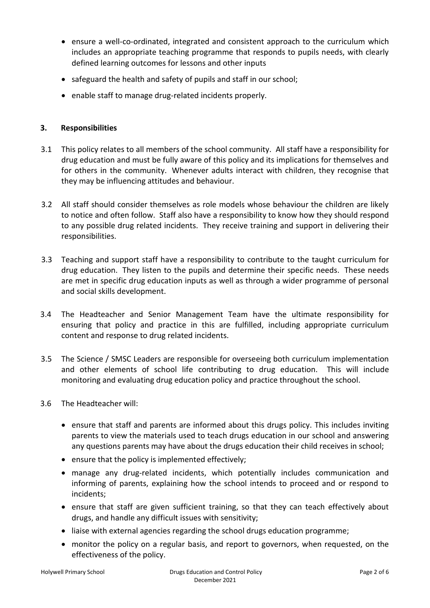- ensure a well-co-ordinated, integrated and consistent approach to the curriculum which includes an appropriate teaching programme that responds to pupils needs, with clearly defined learning outcomes for lessons and other inputs
- safeguard the health and safety of pupils and staff in our school;
- enable staff to manage drug-related incidents properly.

### **3. Responsibilities**

- 3.1 This policy relates to all members of the school community. All staff have a responsibility for drug education and must be fully aware of this policy and its implications for themselves and for others in the community. Whenever adults interact with children, they recognise that they may be influencing attitudes and behaviour.
- 3.2 All staff should consider themselves as role models whose behaviour the children are likely to notice and often follow. Staff also have a responsibility to know how they should respond to any possible drug related incidents. They receive training and support in delivering their responsibilities.
- 3.3 Teaching and support staff have a responsibility to contribute to the taught curriculum for drug education. They listen to the pupils and determine their specific needs. These needs are met in specific drug education inputs as well as through a wider programme of personal and social skills development.
- 3.4 The Headteacher and Senior Management Team have the ultimate responsibility for ensuring that policy and practice in this are fulfilled, including appropriate curriculum content and response to drug related incidents.
- 3.5 The Science / SMSC Leaders are responsible for overseeing both curriculum implementation and other elements of school life contributing to drug education. This will include monitoring and evaluating drug education policy and practice throughout the school.
- 3.6 The Headteacher will:
	- ensure that staff and parents are informed about this drugs policy. This includes inviting parents to view the materials used to teach drugs education in our school and answering any questions parents may have about the drugs education their child receives in school;
	- ensure that the policy is implemented effectively;
	- manage any drug-related incidents, which potentially includes communication and informing of parents, explaining how the school intends to proceed and or respond to incidents;
	- ensure that staff are given sufficient training, so that they can teach effectively about drugs, and handle any difficult issues with sensitivity;
	- liaise with external agencies regarding the school drugs education programme;
	- monitor the policy on a regular basis, and report to governors, when requested, on the effectiveness of the policy.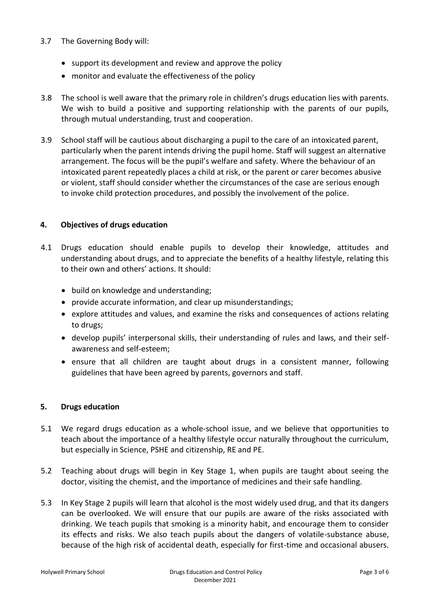#### 3.7 The Governing Body will:

- support its development and review and approve the policy
- monitor and evaluate the effectiveness of the policy
- 3.8 The school is well aware that the primary role in children's drugs education lies with parents. We wish to build a positive and supporting relationship with the parents of our pupils, through mutual understanding, trust and cooperation.
- 3.9 School staff will be cautious about discharging a pupil to the care of an intoxicated parent, particularly when the parent intends driving the pupil home. Staff will suggest an alternative arrangement. The focus will be the pupil's welfare and safety. Where the behaviour of an intoxicated parent repeatedly places a child at risk, or the parent or carer becomes abusive or violent, staff should consider whether the circumstances of the case are serious enough to invoke child protection procedures, and possibly the involvement of the police.

#### **4. Objectives of drugs education**

- 4.1 Drugs education should enable pupils to develop their knowledge, attitudes and understanding about drugs, and to appreciate the benefits of a healthy lifestyle, relating this to their own and others' actions. It should:
	- build on knowledge and understanding;
	- provide accurate information, and clear up misunderstandings;
	- explore attitudes and values, and examine the risks and consequences of actions relating to drugs;
	- develop pupils' interpersonal skills, their understanding of rules and laws, and their selfawareness and self-esteem;
	- ensure that all children are taught about drugs in a consistent manner, following guidelines that have been agreed by parents, governors and staff.

#### **5. Drugs education**

- 5.1 We regard drugs education as a whole-school issue, and we believe that opportunities to teach about the importance of a healthy lifestyle occur naturally throughout the curriculum, but especially in Science, PSHE and citizenship, RE and PE.
- 5.2 Teaching about drugs will begin in Key Stage 1, when pupils are taught about seeing the doctor, visiting the chemist, and the importance of medicines and their safe handling.
- 5.3 In Key Stage 2 pupils will learn that alcohol is the most widely used drug, and that its dangers can be overlooked. We will ensure that our pupils are aware of the risks associated with drinking. We teach pupils that smoking is a minority habit, and encourage them to consider its effects and risks. We also teach pupils about the dangers of volatile-substance abuse, because of the high risk of accidental death, especially for first-time and occasional abusers.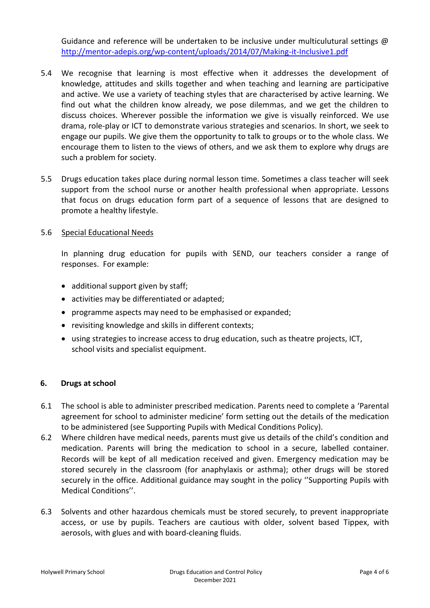Guidance and reference will be undertaken to be inclusive under multiculutural settings  $\omega$ <http://mentor-adepis.org/wp-content/uploads/2014/07/Making-it-Inclusive1.pdf>

- 5.4 We recognise that learning is most effective when it addresses the development of knowledge, attitudes and skills together and when teaching and learning are participative and active. We use a variety of teaching styles that are characterised by active learning. We find out what the children know already, we pose dilemmas, and we get the children to discuss choices. Wherever possible the information we give is visually reinforced. We use drama, role-play or ICT to demonstrate various strategies and scenarios. In short, we seek to engage our pupils. We give them the opportunity to talk to groups or to the whole class. We encourage them to listen to the views of others, and we ask them to explore why drugs are such a problem for society.
- 5.5 Drugs education takes place during normal lesson time. Sometimes a class teacher will seek support from the school nurse or another health professional when appropriate. Lessons that focus on drugs education form part of a sequence of lessons that are designed to promote a healthy lifestyle.

#### 5.6 Special Educational Needs

In planning drug education for pupils with SEND, our teachers consider a range of responses. For example:

- additional support given by staff;
- activities may be differentiated or adapted;
- programme aspects may need to be emphasised or expanded;
- revisiting knowledge and skills in different contexts;
- using strategies to increase access to drug education, such as theatre projects, ICT, school visits and specialist equipment.

#### **6. Drugs at school**

- 6.1 The school is able to administer prescribed medication. Parents need to complete a 'Parental agreement for school to administer medicine' form setting out the details of the medication to be administered (see Supporting Pupils with Medical Conditions Policy).
- 6.2 Where children have medical needs, parents must give us details of the child's condition and medication. Parents will bring the medication to school in a secure, labelled container. Records will be kept of all medication received and given. Emergency medication may be stored securely in the classroom (for anaphylaxis or asthma); other drugs will be stored securely in the office. Additional guidance may sought in the policy ''Supporting Pupils with Medical Conditions''.
- 6.3 Solvents and other hazardous chemicals must be stored securely, to prevent inappropriate access, or use by pupils. Teachers are cautious with older, solvent based Tippex, with aerosols, with glues and with board-cleaning fluids.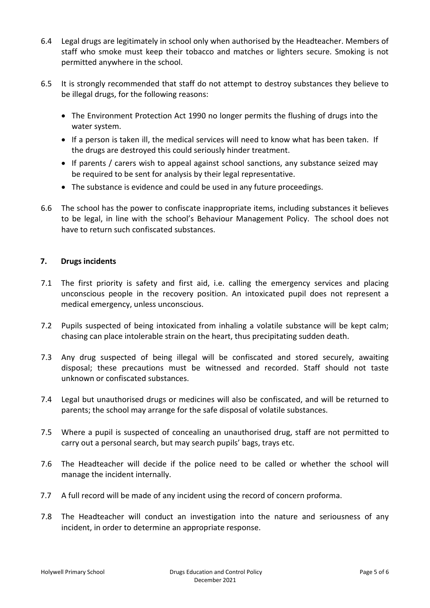- 6.4 Legal drugs are legitimately in school only when authorised by the Headteacher. Members of staff who smoke must keep their tobacco and matches or lighters secure. Smoking is not permitted anywhere in the school.
- 6.5 It is strongly recommended that staff do not attempt to destroy substances they believe to be illegal drugs, for the following reasons:
	- The Environment Protection Act 1990 no longer permits the flushing of drugs into the water system.
	- If a person is taken ill, the medical services will need to know what has been taken. If the drugs are destroyed this could seriously hinder treatment.
	- If parents / carers wish to appeal against school sanctions, any substance seized may be required to be sent for analysis by their legal representative.
	- The substance is evidence and could be used in any future proceedings.
- 6.6 The school has the power to confiscate inappropriate items, including substances it believes to be legal, in line with the school's Behaviour Management Policy. The school does not have to return such confiscated substances.

# **7. Drugs incidents**

- 7.1 The first priority is safety and first aid, i.e. calling the emergency services and placing unconscious people in the recovery position. An intoxicated pupil does not represent a medical emergency, unless unconscious.
- 7.2 Pupils suspected of being intoxicated from inhaling a volatile substance will be kept calm; chasing can place intolerable strain on the heart, thus precipitating sudden death.
- 7.3 Any drug suspected of being illegal will be confiscated and stored securely, awaiting disposal; these precautions must be witnessed and recorded. Staff should not taste unknown or confiscated substances.
- 7.4 Legal but unauthorised drugs or medicines will also be confiscated, and will be returned to parents; the school may arrange for the safe disposal of volatile substances.
- 7.5 Where a pupil is suspected of concealing an unauthorised drug, staff are not permitted to carry out a personal search, but may search pupils' bags, trays etc.
- 7.6 The Headteacher will decide if the police need to be called or whether the school will manage the incident internally.
- 7.7 A full record will be made of any incident using the record of concern proforma.
- 7.8 The Headteacher will conduct an investigation into the nature and seriousness of any incident, in order to determine an appropriate response.